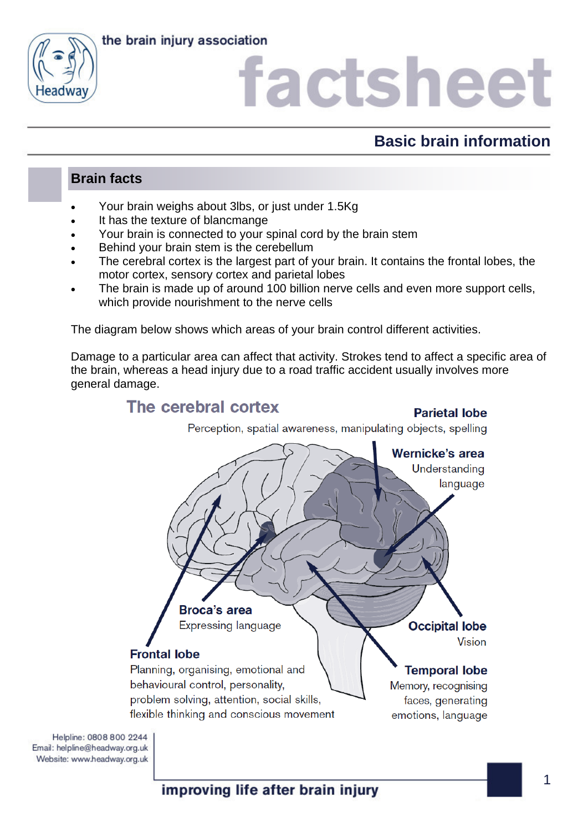



## **Basic brain information**

### **Brain facts**

- Your brain weighs about 3lbs, or just under 1.5Kg
- It has the texture of blancmange
- Your brain is connected to your spinal cord by the brain stem
- Behind your brain stem is the cerebellum
- The cerebral cortex is the largest part of your brain. It contains the frontal lobes, the motor cortex, sensory cortex and parietal lobes
- The brain is made up of around 100 billion nerve cells and even more support cells, which provide nourishment to the nerve cells

The diagram below shows which areas of your brain control different activities.

Damage to a particular area can affect that activity. Strokes tend to affect a specific area of the brain, whereas a head injury due to a road traffic accident usually involves more general damage.



Helpline: 0808 800 2244 Email: helpline@headway.org.uk Website: www.headway.org.uk

improving life after brain injury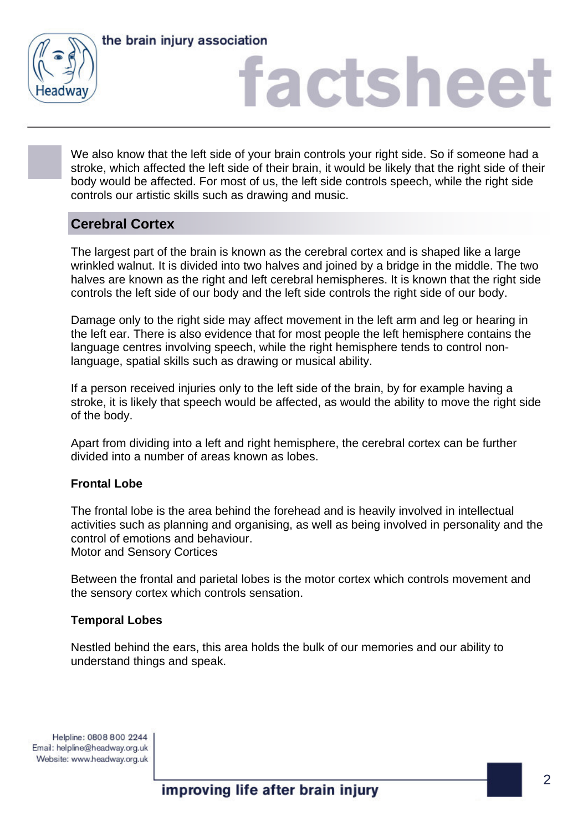



We also know that the left side of your brain controls your right side. So if someone had a stroke, which affected the left side of their brain, it would be likely that the right side of their body would be affected. For most of us, the left side controls speech, while the right side controls our artistic skills such as drawing and music.

### **Cerebral Cortex**

The largest part of the brain is known as the cerebral cortex and is shaped like a large wrinkled walnut. It is divided into two halves and joined by a bridge in the middle. The two halves are known as the right and left cerebral hemispheres. It is known that the right side controls the left side of our body and the left side controls the right side of our body.

Damage only to the right side may affect movement in the left arm and leg or hearing in the left ear. There is also evidence that for most people the left hemisphere contains the language centres involving speech, while the right hemisphere tends to control nonlanguage, spatial skills such as drawing or musical ability.

If a person received injuries only to the left side of the brain, by for example having a stroke, it is likely that speech would be affected, as would the ability to move the right side of the body.

Apart from dividing into a left and right hemisphere, the cerebral cortex can be further divided into a number of areas known as lobes.

#### **Frontal Lobe**

The frontal lobe is the area behind the forehead and is heavily involved in intellectual activities such as planning and organising, as well as being involved in personality and the control of emotions and behaviour. Motor and Sensory Cortices

Between the frontal and parietal lobes is the motor cortex which controls movement and the sensory cortex which controls sensation.

#### **Temporal Lobes**

Nestled behind the ears, this area holds the bulk of our memories and our ability to understand things and speak.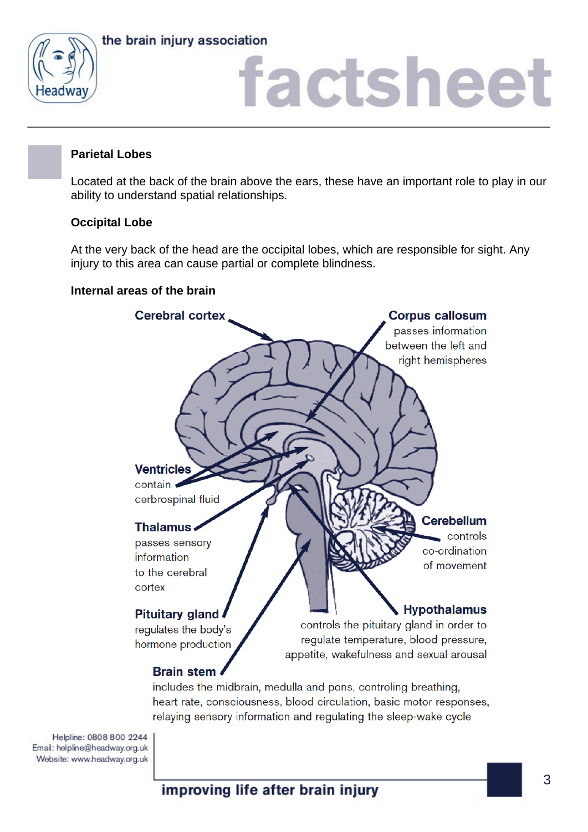

the brain injury association

# factsheet

#### **Parietal Lobes**

Located at the back of the brain above the ears, these have an important role to play in our ability to understand spatial relationships.

#### **Occipital Lobe**

At the very back of the head are the occipital lobes, which are responsible for sight. Any injury to this area can cause partial or complete blindness.

#### **Internal areas of the brain**



Helpline: 0808 800 2244 Email: helpline@headway.org.uk Website: www.headway.org.uk

improving life after brain injury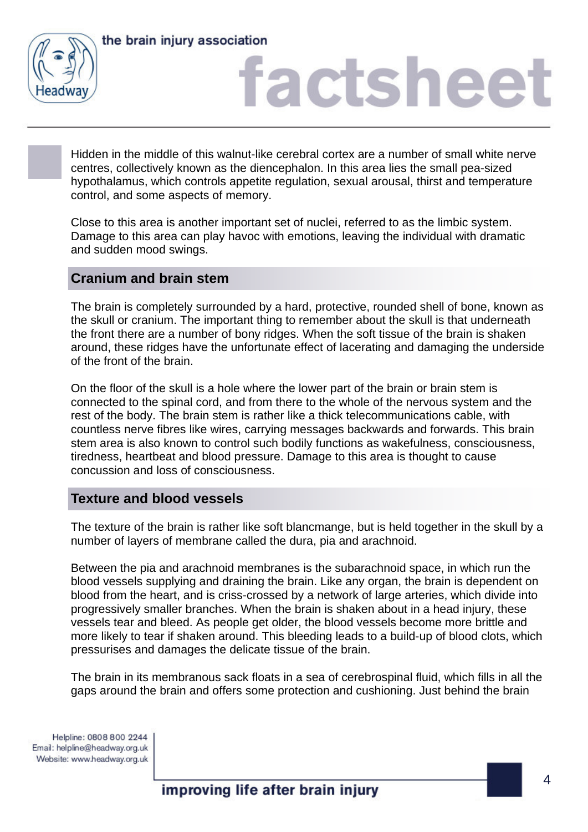



Hidden in the middle of this walnut-like cerebral cortex are a number of small white nerve centres, collectively known as the diencephalon. In this area lies the small pea-sized hypothalamus, which controls appetite regulation, sexual arousal, thirst and temperature control, and some aspects of memory.

Close to this area is another important set of nuclei, referred to as the limbic system. Damage to this area can play havoc with emotions, leaving the individual with dramatic and sudden mood swings.

#### **Cranium and brain stem**

The brain is completely surrounded by a hard, protective, rounded shell of bone, known as the skull or cranium. The important thing to remember about the skull is that underneath the front there are a number of bony ridges. When the soft tissue of the brain is shaken around, these ridges have the unfortunate effect of lacerating and damaging the underside of the front of the brain.

On the floor of the skull is a hole where the lower part of the brain or brain stem is connected to the spinal cord, and from there to the whole of the nervous system and the rest of the body. The brain stem is rather like a thick telecommunications cable, with countless nerve fibres like wires, carrying messages backwards and forwards. This brain stem area is also known to control such bodily functions as wakefulness, consciousness, tiredness, heartbeat and blood pressure. Damage to this area is thought to cause concussion and loss of consciousness.

### **Texture and blood vessels**

The texture of the brain is rather like soft blancmange, but is held together in the skull by a number of layers of membrane called the dura, pia and arachnoid.

Between the pia and arachnoid membranes is the subarachnoid space, in which run the blood vessels supplying and draining the brain. Like any organ, the brain is dependent on blood from the heart, and is criss-crossed by a network of large arteries, which divide into progressively smaller branches. When the brain is shaken about in a head injury, these vessels tear and bleed. As people get older, the blood vessels become more brittle and more likely to tear if shaken around. This bleeding leads to a build-up of blood clots, which pressurises and damages the delicate tissue of the brain.

The brain in its membranous sack floats in a sea of cerebrospinal fluid, which fills in all the gaps around the brain and offers some protection and cushioning. Just behind the brain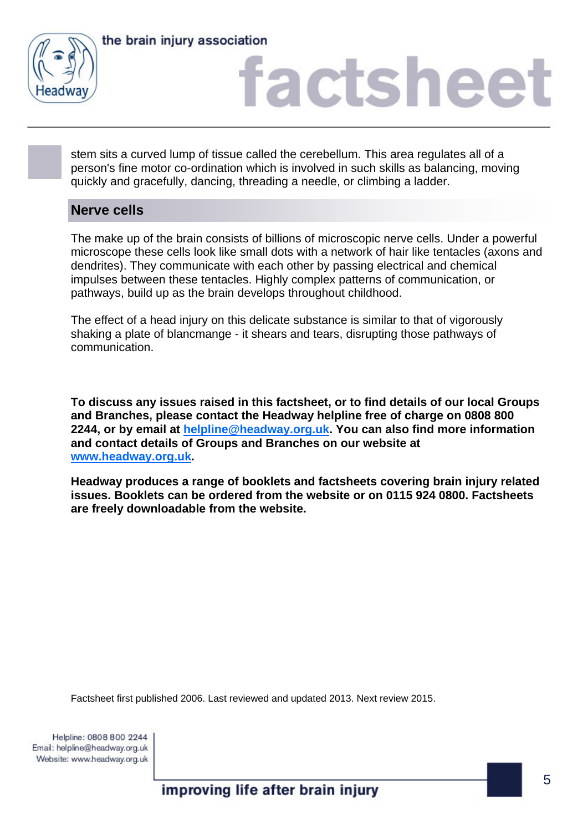

the brain injury association

## factsheet

stem sits a curved lump of tissue called the cerebellum. This area regulates all of a person's fine motor co-ordination which is involved in such skills as balancing, moving quickly and gracefully, dancing, threading a needle, or climbing a ladder.

### **Nerve cells**

The make up of the brain consists of billions of microscopic nerve cells. Under a powerful microscope these cells look like small dots with a network of hair like tentacles (axons and dendrites). They communicate with each other by passing electrical and chemical impulses between these tentacles. Highly complex patterns of communication, or pathways, build up as the brain develops throughout childhood.

The effect of a head injury on this delicate substance is similar to that of vigorously shaking a plate of blancmange - it shears and tears, disrupting those pathways of communication.

**To discuss any issues raised in this factsheet, or to find details of our local Groups and Branches, please contact the Headway helpline free of charge on 0808 800 2244, or by email at [helpline@headway.org.uk](mailto:helpline@headway.org.uk). You can also find more information and contact details of Groups and Branches on our website at [www.headway.org.uk](http://www.headway.org.uk).** 

**Headway produces a range of booklets and factsheets covering brain injury related issues. Booklets can be ordered from the website or on 0115 924 0800. Factsheets are freely downloadable from the website.** 

Factsheet first published 2006. Last reviewed and updated 2013. Next review 2015.

improving life after brain injury